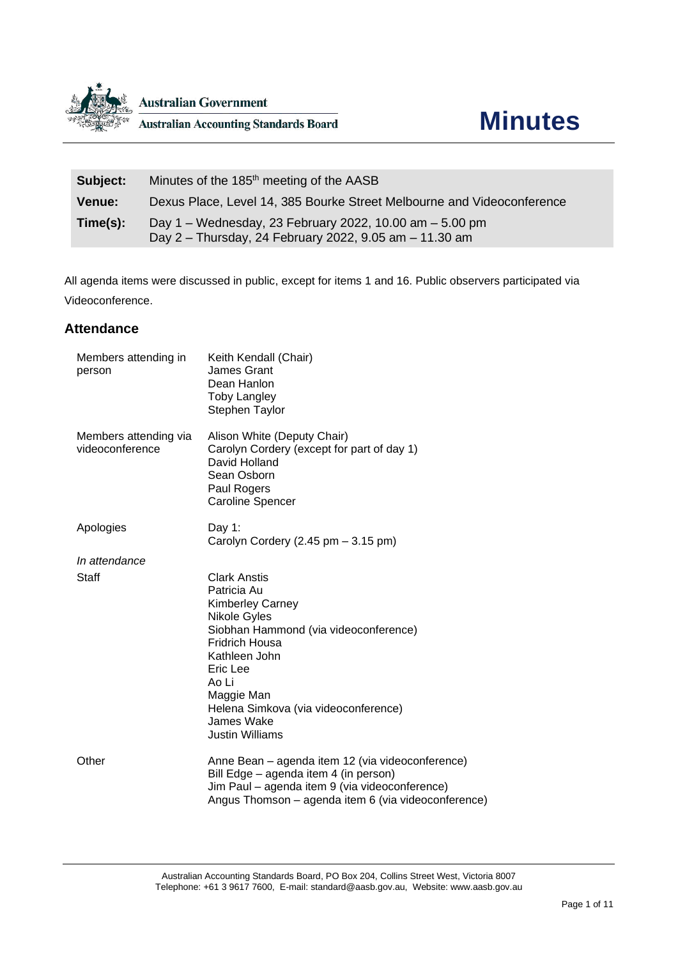

| Subject:      | Minutes of the 185 <sup>th</sup> meeting of the AASB                                                              |
|---------------|-------------------------------------------------------------------------------------------------------------------|
| <b>Venue:</b> | Dexus Place, Level 14, 385 Bourke Street Melbourne and Videoconference                                            |
| Time(s):      | Day 1 – Wednesday, 23 February 2022, 10.00 am – 5.00 pm<br>Day 2 - Thursday, 24 February 2022, 9.05 am - 11.30 am |

All agenda items were discussed in public, except for items 1 and 16. Public observers participated via Videoconference.

### **Attendance**

| Members attending in<br>person           | Keith Kendall (Chair)<br>James Grant<br>Dean Hanlon<br><b>Toby Langley</b><br>Stephen Taylor                                                                                                                                                                                 |
|------------------------------------------|------------------------------------------------------------------------------------------------------------------------------------------------------------------------------------------------------------------------------------------------------------------------------|
| Members attending via<br>videoconference | Alison White (Deputy Chair)<br>Carolyn Cordery (except for part of day 1)<br>David Holland<br>Sean Osborn<br>Paul Rogers<br><b>Caroline Spencer</b>                                                                                                                          |
| Apologies                                | Day 1:<br>Carolyn Cordery $(2.45 \text{ pm} - 3.15 \text{ pm})$                                                                                                                                                                                                              |
| In attendance                            |                                                                                                                                                                                                                                                                              |
| Staff                                    | <b>Clark Anstis</b><br>Patricia Au<br><b>Kimberley Carney</b><br>Nikole Gyles<br>Siobhan Hammond (via videoconference)<br><b>Fridrich Housa</b><br>Kathleen John<br>Eric Lee<br>Ao Li<br>Maggie Man<br>Helena Simkova (via videoconference)<br>James Wake<br>Justin Williams |
| Other                                    | Anne Bean - agenda item 12 (via videoconference)<br>Bill Edge - agenda item 4 (in person)<br>Jim Paul - agenda item 9 (via videoconference)<br>Angus Thomson - agenda item 6 (via videoconference)                                                                           |
|                                          |                                                                                                                                                                                                                                                                              |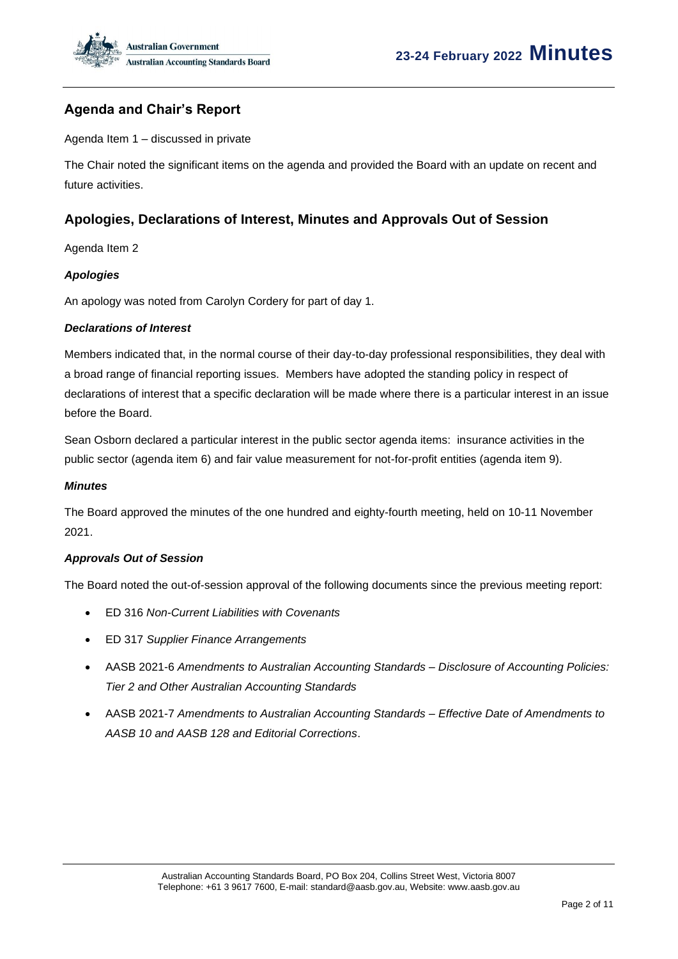

### **Agenda and Chair's Report**

Agenda Item 1 – discussed in private

The Chair noted the significant items on the agenda and provided the Board with an update on recent and future activities.

### **Apologies, Declarations of Interest, Minutes and Approvals Out of Session**

Agenda Item 2

### *Apologies*

An apology was noted from Carolyn Cordery for part of day 1.

#### *Declarations of Interest*

Members indicated that, in the normal course of their day-to-day professional responsibilities, they deal with a broad range of financial reporting issues. Members have adopted the standing policy in respect of declarations of interest that a specific declaration will be made where there is a particular interest in an issue before the Board.

Sean Osborn declared a particular interest in the public sector agenda items: insurance activities in the public sector (agenda item 6) and fair value measurement for not-for-profit entities (agenda item 9).

#### *Minutes*

The Board approved the minutes of the one hundred and eighty-fourth meeting, held on 10-11 November 2021.

#### *Approvals Out of Session*

The Board noted the out-of-session approval of the following documents since the previous meeting report:

- ED 316 *Non-Current Liabilities with Covenants*
- ED 317 *Supplier Finance Arrangements*
- AASB 2021-6 *Amendments to Australian Accounting Standards – Disclosure of Accounting Policies: Tier 2 and Other Australian Accounting Standards*
- AASB 2021-7 *Amendments to Australian Accounting Standards – Effective Date of Amendments to AASB 10 and AASB 128 and Editorial Corrections*.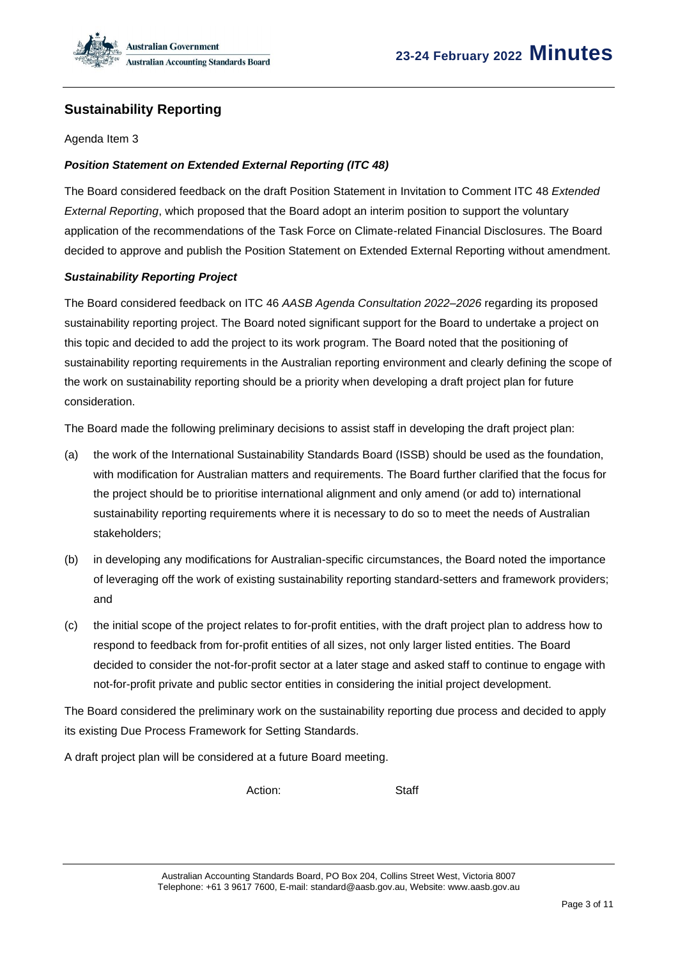

### **Sustainability Reporting**

Agenda Item 3

### *Position Statement on Extended External Reporting (ITC 48)*

The Board considered feedback on the draft Position Statement in Invitation to Comment ITC 48 *Extended External Reporting*, which proposed that the Board adopt an interim position to support the voluntary application of the recommendations of the Task Force on Climate-related Financial Disclosures. The Board decided to approve and publish the Position Statement on Extended External Reporting without amendment.

#### *Sustainability Reporting Project*

The Board considered feedback on ITC 46 *AASB Agenda Consultation 2022–2026* regarding its proposed sustainability reporting project. The Board noted significant support for the Board to undertake a project on this topic and decided to add the project to its work program. The Board noted that the positioning of sustainability reporting requirements in the Australian reporting environment and clearly defining the scope of the work on sustainability reporting should be a priority when developing a draft project plan for future consideration.

The Board made the following preliminary decisions to assist staff in developing the draft project plan:

- (a) the work of the International Sustainability Standards Board (ISSB) should be used as the foundation, with modification for Australian matters and requirements. The Board further clarified that the focus for the project should be to prioritise international alignment and only amend (or add to) international sustainability reporting requirements where it is necessary to do so to meet the needs of Australian stakeholders;
- (b) in developing any modifications for Australian-specific circumstances, the Board noted the importance of leveraging off the work of existing sustainability reporting standard-setters and framework providers; and
- (c) the initial scope of the project relates to for-profit entities, with the draft project plan to address how to respond to feedback from for-profit entities of all sizes, not only larger listed entities. The Board decided to consider the not-for-profit sector at a later stage and asked staff to continue to engage with not-for-profit private and public sector entities in considering the initial project development.

The Board considered the preliminary work on the sustainability reporting due process and decided to apply its existing Due Process Framework for Setting Standards.

A draft project plan will be considered at a future Board meeting.

Action: Staff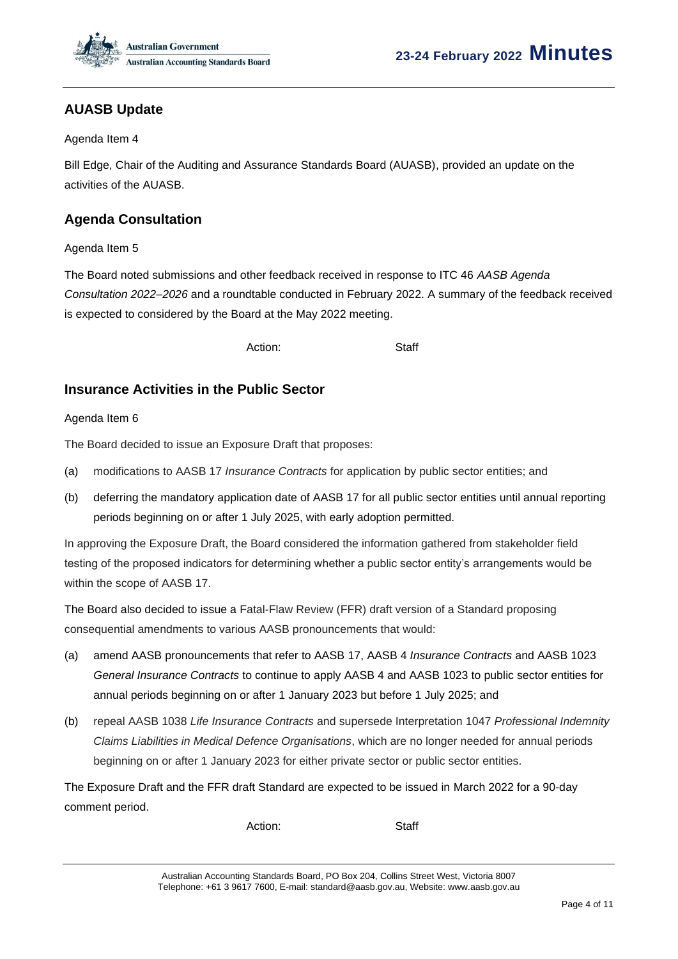

### **AUASB Update**

#### Agenda Item 4

Bill Edge, Chair of the Auditing and Assurance Standards Board (AUASB), provided an update on the activities of the AUASB.

### **Agenda Consultation**

Agenda Item 5

The Board noted submissions and other feedback received in response to ITC 46 *AASB Agenda Consultation 2022*–*2026* and a roundtable conducted in February 2022. A summary of the feedback received is expected to considered by the Board at the May 2022 meeting.

Action: Staff

### **Insurance Activities in the Public Sector**

#### Agenda Item 6

The Board decided to issue an Exposure Draft that proposes:

- (a) modifications to AASB 17 *Insurance Contracts* for application by public sector entities; and
- (b) deferring the mandatory application date of AASB 17 for all public sector entities until annual reporting periods beginning on or after 1 July 2025, with early adoption permitted.

In approving the Exposure Draft, the Board considered the information gathered from stakeholder field testing of the proposed indicators for determining whether a public sector entity's arrangements would be within the scope of AASB 17.

The Board also decided to issue a Fatal-Flaw Review (FFR) draft version of a Standard proposing consequential amendments to various AASB pronouncements that would:

- (a) amend AASB pronouncements that refer to AASB 17, AASB 4 *Insurance Contracts* and AASB 1023 *General Insurance Contracts* to continue to apply AASB 4 and AASB 1023 to public sector entities for annual periods beginning on or after 1 January 2023 but before 1 July 2025; and
- (b) repeal AASB 1038 *Life Insurance Contracts* and supersede Interpretation 1047 *Professional Indemnity Claims Liabilities in Medical Defence Organisations*, which are no longer needed for annual periods beginning on or after 1 January 2023 for either private sector or public sector entities.

The Exposure Draft and the FFR draft Standard are expected to be issued in March 2022 for a 90-day comment period.

Action: Staff

Australian Accounting Standards Board, PO Box 204, Collins Street West, Victoria 8007 Telephone: +61 3 9617 7600, E-mail: standard@aasb.gov.au, Website: www.aasb.gov.au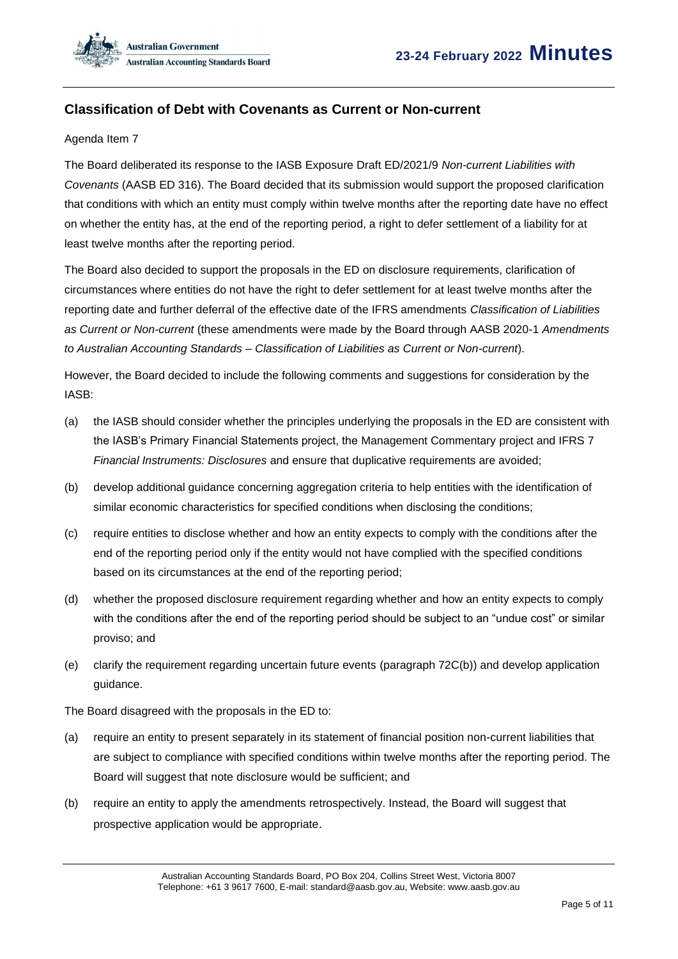### **Classification of Debt with Covenants as Current or Non-current**

#### Agenda Item 7

The Board deliberated its response to the IASB Exposure Draft ED/2021/9 *Non-current Liabilities with Covenants* (AASB ED 316). The Board decided that its submission would support the proposed clarification that conditions with which an entity must comply within twelve months after the reporting date have no effect on whether the entity has, at the end of the reporting period, a right to defer settlement of a liability for at least twelve months after the reporting period.

The Board also decided to support the proposals in the ED on disclosure requirements, clarification of circumstances where entities do not have the right to defer settlement for at least twelve months after the reporting date and further deferral of the effective date of the IFRS amendments *Classification of Liabilities as Current or Non-current* (these amendments were made by the Board through AASB 2020-1 *Amendments to Australian Accounting Standards – Classification of Liabilities as Current or Non-current*).

However, the Board decided to include the following comments and suggestions for consideration by the IASB:

- (a) the IASB should consider whether the principles underlying the proposals in the ED are consistent with the IASB's Primary Financial Statements project, the Management Commentary project and IFRS 7 *Financial Instruments: Disclosures* and ensure that duplicative requirements are avoided;
- (b) develop additional guidance concerning aggregation criteria to help entities with the identification of similar economic characteristics for specified conditions when disclosing the conditions;
- (c) require entities to disclose whether and how an entity expects to comply with the conditions after the end of the reporting period only if the entity would not have complied with the specified conditions based on its circumstances at the end of the reporting period;
- (d) whether the proposed disclosure requirement regarding whether and how an entity expects to comply with the conditions after the end of the reporting period should be subject to an "undue cost" or similar proviso; and
- (e) clarify the requirement regarding uncertain future events (paragraph 72C(b)) and develop application guidance.

The Board disagreed with the proposals in the ED to:

- (a) require an entity to present separately in its statement of financial position non-current liabilities that are subject to compliance with specified conditions within twelve months after the reporting period. The Board will suggest that note disclosure would be sufficient; and
- (b) require an entity to apply the amendments retrospectively. Instead, the Board will suggest that prospective application would be appropriate.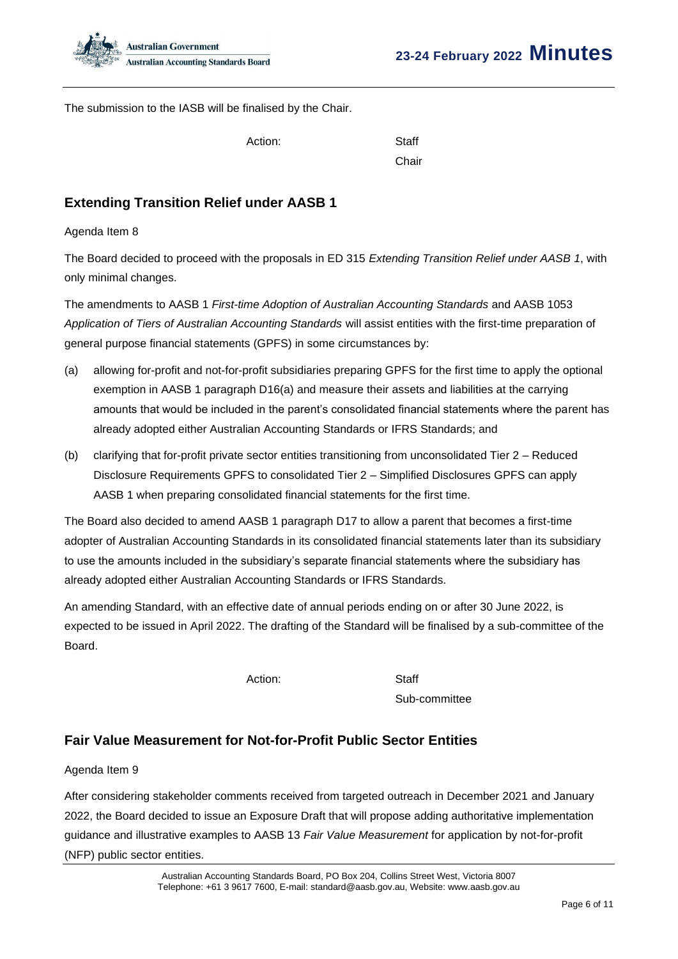

The submission to the IASB will be finalised by the Chair.

Action: Staff

Chair

# **Extending Transition Relief under AASB 1**

Agenda Item 8

The Board decided to proceed with the proposals in ED 315 *Extending Transition Relief under AASB 1*, with only minimal changes.

The amendments to AASB 1 *First-time Adoption of Australian Accounting Standards* and AASB 1053 *Application of Tiers of Australian Accounting Standards* will assist entities with the first-time preparation of general purpose financial statements (GPFS) in some circumstances by:

- (a) allowing for-profit and not-for-profit subsidiaries preparing GPFS for the first time to apply the optional exemption in AASB 1 paragraph D16(a) and measure their assets and liabilities at the carrying amounts that would be included in the parent's consolidated financial statements where the parent has already adopted either Australian Accounting Standards or IFRS Standards; and
- (b) clarifying that for-profit private sector entities transitioning from unconsolidated Tier 2 Reduced Disclosure Requirements GPFS to consolidated Tier 2 – Simplified Disclosures GPFS can apply AASB 1 when preparing consolidated financial statements for the first time.

The Board also decided to amend AASB 1 paragraph D17 to allow a parent that becomes a first-time adopter of Australian Accounting Standards in its consolidated financial statements later than its subsidiary to use the amounts included in the subsidiary's separate financial statements where the subsidiary has already adopted either Australian Accounting Standards or IFRS Standards.

An amending Standard, with an effective date of annual periods ending on or after 30 June 2022, is expected to be issued in April 2022. The drafting of the Standard will be finalised by a sub-committee of the Board.

Action: Staff

Sub-committee

### **Fair Value Measurement for Not-for-Profit Public Sector Entities**

### Agenda Item 9

After considering stakeholder comments received from targeted outreach in December 2021 and January 2022, the Board decided to issue an Exposure Draft that will propose adding authoritative implementation guidance and illustrative examples to AASB 13 *Fair Value Measurement* for application by not-for-profit (NFP) public sector entities.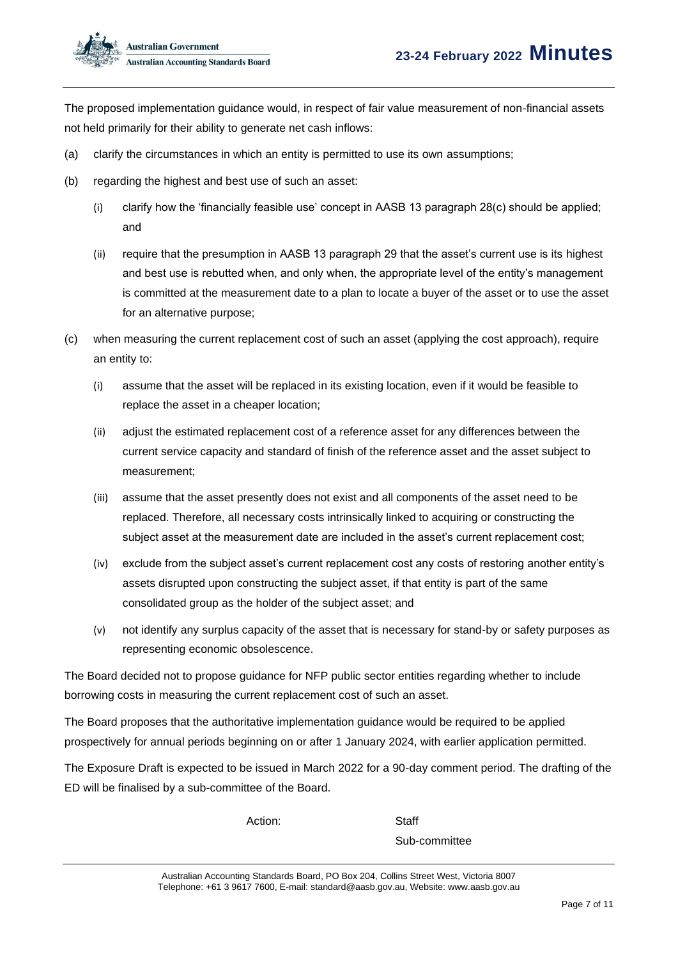The proposed implementation guidance would, in respect of fair value measurement of non-financial assets not held primarily for their ability to generate net cash inflows:

- (a) clarify the circumstances in which an entity is permitted to use its own assumptions;
- (b) regarding the highest and best use of such an asset:
	- (i) clarify how the 'financially feasible use' concept in AASB 13 paragraph 28(c) should be applied; and
	- (ii) require that the presumption in AASB 13 paragraph 29 that the asset's current use is its highest and best use is rebutted when, and only when, the appropriate level of the entity's management is committed at the measurement date to a plan to locate a buyer of the asset or to use the asset for an alternative purpose;
- (c) when measuring the current replacement cost of such an asset (applying the cost approach), require an entity to:
	- (i) assume that the asset will be replaced in its existing location, even if it would be feasible to replace the asset in a cheaper location;
	- (ii) adjust the estimated replacement cost of a reference asset for any differences between the current service capacity and standard of finish of the reference asset and the asset subject to measurement;
	- (iii) assume that the asset presently does not exist and all components of the asset need to be replaced. Therefore, all necessary costs intrinsically linked to acquiring or constructing the subject asset at the measurement date are included in the asset's current replacement cost;
	- (iv) exclude from the subject asset's current replacement cost any costs of restoring another entity's assets disrupted upon constructing the subject asset, if that entity is part of the same consolidated group as the holder of the subject asset; and
	- (v) not identify any surplus capacity of the asset that is necessary for stand-by or safety purposes as representing economic obsolescence.

The Board decided not to propose guidance for NFP public sector entities regarding whether to include borrowing costs in measuring the current replacement cost of such an asset.

The Board proposes that the authoritative implementation guidance would be required to be applied prospectively for annual periods beginning on or after 1 January 2024, with earlier application permitted.

The Exposure Draft is expected to be issued in March 2022 for a 90-day comment period. The drafting of the ED will be finalised by a sub-committee of the Board.

Action: Staff

Sub-committee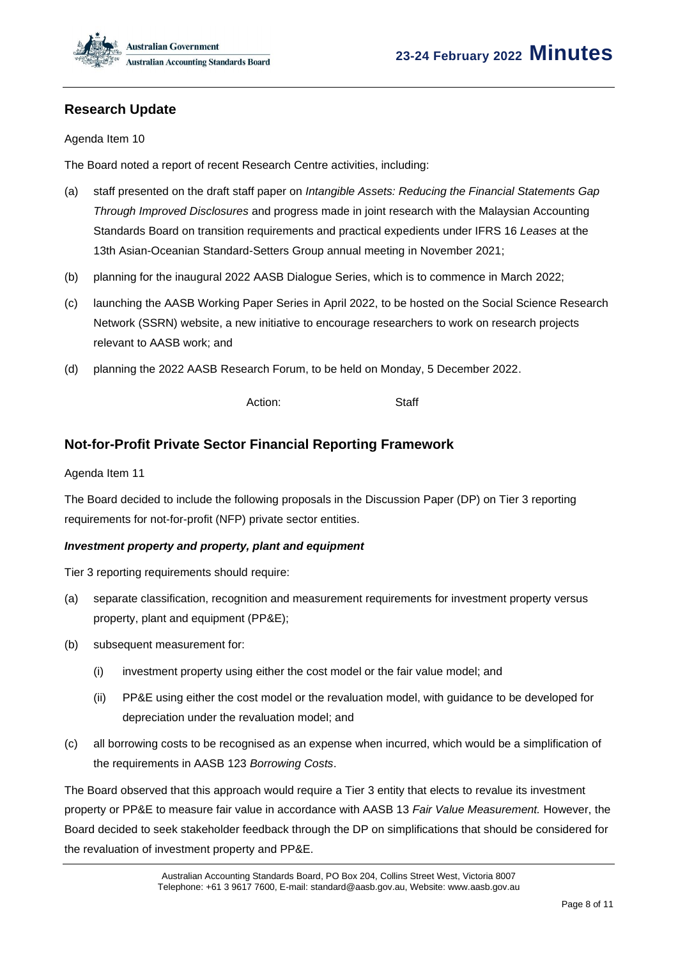

### **Research Update**

#### Agenda Item 10

The Board noted a report of recent Research Centre activities, including:

- (a) staff presented on the draft staff paper on *Intangible Assets: Reducing the Financial Statements Gap Through Improved Disclosures* and progress made in joint research with the Malaysian Accounting Standards Board on transition requirements and practical expedients under IFRS 16 *Leases* at the 13th Asian-Oceanian Standard-Setters Group annual meeting in November 2021;
- (b) planning for the inaugural 2022 AASB Dialogue Series, which is to commence in March 2022;
- (c) launching the AASB Working Paper Series in April 2022, to be hosted on the Social Science Research Network (SSRN) website, a new initiative to encourage researchers to work on research projects relevant to AASB work; and
- (d) planning the 2022 AASB Research Forum, to be held on Monday, 5 December 2022.

Action: Staff

### **Not-for-Profit Private Sector Financial Reporting Framework**

#### Agenda Item 11

The Board decided to include the following proposals in the Discussion Paper (DP) on Tier 3 reporting requirements for not-for-profit (NFP) private sector entities.

#### *Investment property and property, plant and equipment*

Tier 3 reporting requirements should require:

- (a) separate classification, recognition and measurement requirements for investment property versus property, plant and equipment (PP&E);
- (b) subsequent measurement for:
	- (i) investment property using either the cost model or the fair value model; and
	- (ii) PP&E using either the cost model or the revaluation model, with guidance to be developed for depreciation under the revaluation model; and
- (c) all borrowing costs to be recognised as an expense when incurred, which would be a simplification of the requirements in AASB 123 *Borrowing Costs*.

The Board observed that this approach would require a Tier 3 entity that elects to revalue its investment property or PP&E to measure fair value in accordance with AASB 13 *Fair Value Measurement.* However, the Board decided to seek stakeholder feedback through the DP on simplifications that should be considered for the revaluation of investment property and PP&E.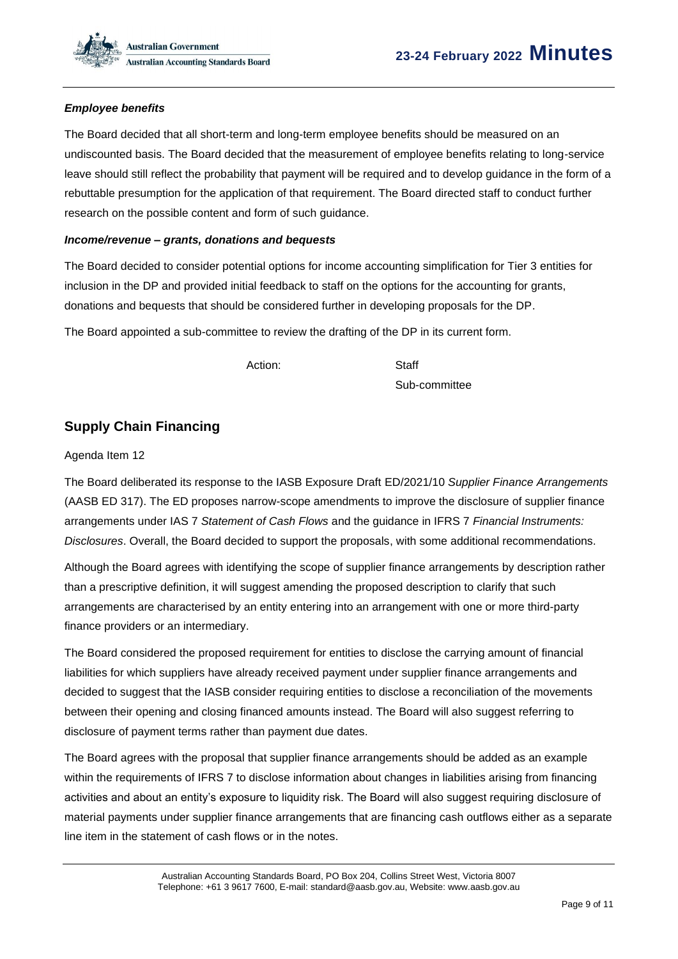

### *Employee benefits*

The Board decided that all short-term and long-term employee benefits should be measured on an undiscounted basis. The Board decided that the measurement of employee benefits relating to long-service leave should still reflect the probability that payment will be required and to develop guidance in the form of a rebuttable presumption for the application of that requirement. The Board directed staff to conduct further research on the possible content and form of such guidance.

#### *Income/revenue – grants, donations and bequests*

The Board decided to consider potential options for income accounting simplification for Tier 3 entities for inclusion in the DP and provided initial feedback to staff on the options for the accounting for grants, donations and bequests that should be considered further in developing proposals for the DP.

The Board appointed a sub-committee to review the drafting of the DP in its current form.

Action: Staff

Sub-committee

### **Supply Chain Financing**

#### Agenda Item 12

The Board deliberated its response to the IASB Exposure Draft ED/2021/10 *Supplier Finance Arrangements* (AASB ED 317). The ED proposes narrow-scope amendments to improve the disclosure of supplier finance arrangements under IAS 7 *Statement of Cash Flows* and the guidance in IFRS 7 *Financial Instruments: Disclosures*. Overall, the Board decided to support the proposals, with some additional recommendations.

Although the Board agrees with identifying the scope of supplier finance arrangements by description rather than a prescriptive definition, it will suggest amending the proposed description to clarify that such arrangements are characterised by an entity entering into an arrangement with one or more third-party finance providers or an intermediary.

The Board considered the proposed requirement for entities to disclose the carrying amount of financial liabilities for which suppliers have already received payment under supplier finance arrangements and decided to suggest that the IASB consider requiring entities to disclose a reconciliation of the movements between their opening and closing financed amounts instead. The Board will also suggest referring to disclosure of payment terms rather than payment due dates.

The Board agrees with the proposal that supplier finance arrangements should be added as an example within the requirements of IFRS 7 to disclose information about changes in liabilities arising from financing activities and about an entity's exposure to liquidity risk. The Board will also suggest requiring disclosure of material payments under supplier finance arrangements that are financing cash outflows either as a separate line item in the statement of cash flows or in the notes.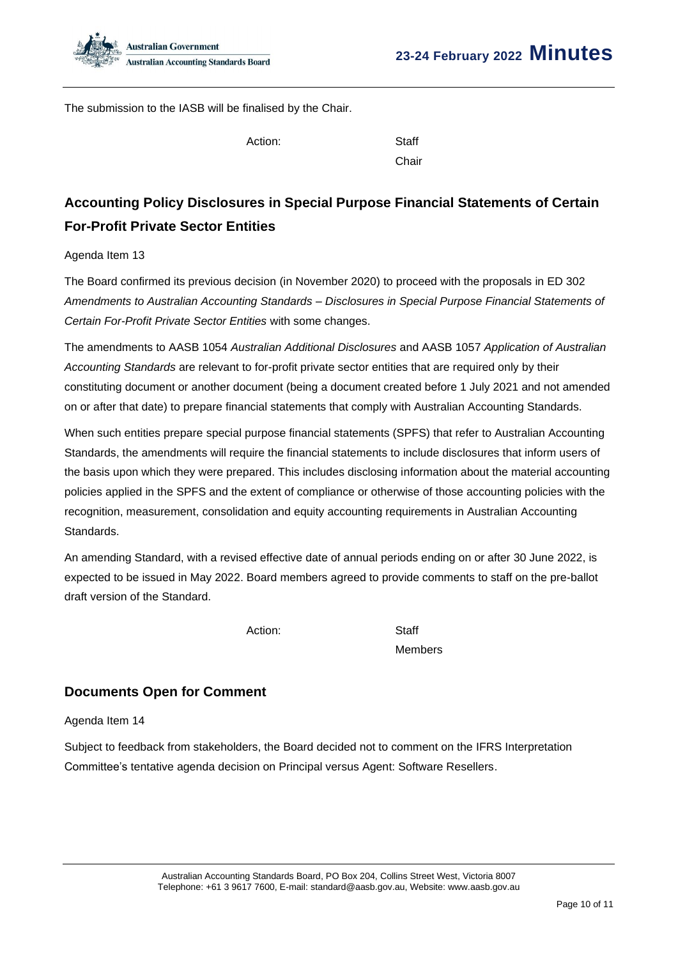The submission to the IASB will be finalised by the Chair.

Action: Staff

Chair

# **Accounting Policy Disclosures in Special Purpose Financial Statements of Certain For-Profit Private Sector Entities**

### Agenda Item 13

The Board confirmed its previous decision (in November 2020) to proceed with the proposals in ED 302 *Amendments to Australian Accounting Standards – Disclosures in Special Purpose Financial Statements of Certain For-Profit Private Sector Entities* with some changes.

The amendments to AASB 1054 *Australian Additional Disclosures* and AASB 1057 *Application of Australian Accounting Standards* are relevant to for-profit private sector entities that are required only by their constituting document or another document (being a document created before 1 July 2021 and not amended on or after that date) to prepare financial statements that comply with Australian Accounting Standards.

When such entities prepare special purpose financial statements (SPFS) that refer to Australian Accounting Standards, the amendments will require the financial statements to include disclosures that inform users of the basis upon which they were prepared. This includes disclosing information about the material accounting policies applied in the SPFS and the extent of compliance or otherwise of those accounting policies with the recognition, measurement, consolidation and equity accounting requirements in Australian Accounting Standards.

An amending Standard, with a revised effective date of annual periods ending on or after 30 June 2022, is expected to be issued in May 2022. Board members agreed to provide comments to staff on the pre-ballot draft version of the Standard.

Action: Staff

Members

# **Documents Open for Comment**

### Agenda Item 14

Subject to feedback from stakeholders, the Board decided not to comment on the IFRS Interpretation Committee's tentative agenda decision on Principal versus Agent: Software Resellers.